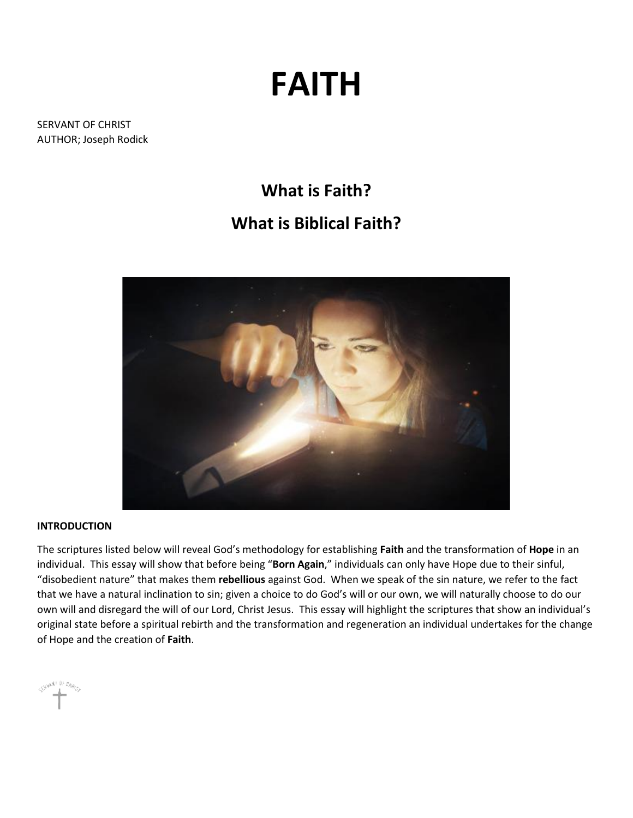# **FAITH**

SERVANT OF CHRIST AUTHOR; Joseph Rodick

## **What is Faith? What is Biblical Faith?**



#### **INTRODUCTION**

The scriptures listed below will reveal God's methodology for establishing **Faith** and the transformation of **Hope** in an individual. This essay will show that before being "**Born Again**," individuals can only have Hope due to their sinful, "disobedient nature" that makes them **rebellious** against God. When we speak of the sin nature, we refer to the fact that we have a natural inclination to sin; given a choice to do God's will or our own, we will naturally choose to do our own will and disregard the will of our Lord, Christ Jesus. This essay will highlight the scriptures that show an individual's original state before a spiritual rebirth and the transformation and regeneration an individual undertakes for the change of Hope and the creation of **Faith**.

SHAN IN CHAN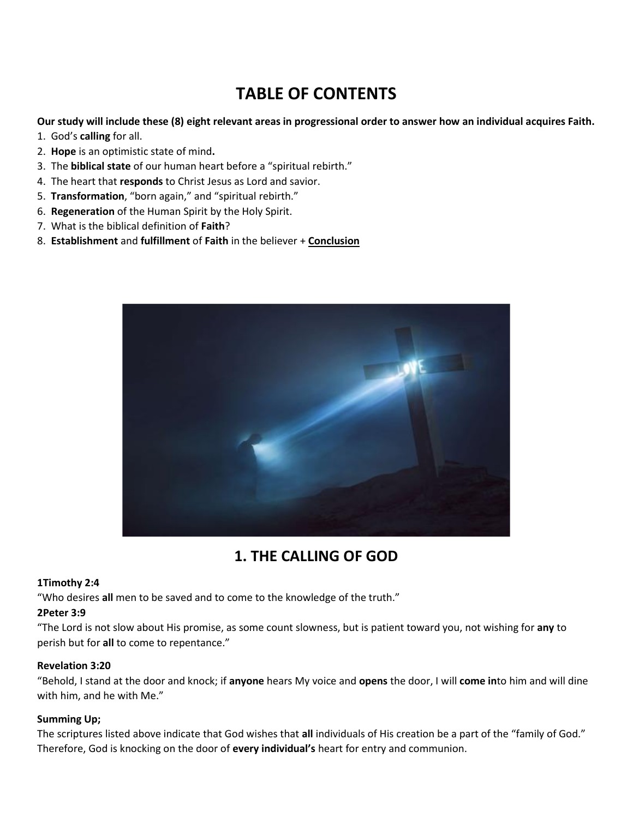## **TABLE OF CONTENTS**

#### **Our study will include these (8) eight relevant areas in progressional order to answer how an individual acquires Faith.**

- 1. God's **calling** for all.
- 2. **Hope** is an optimistic state of mind**.**
- 3. The **biblical state** of our human heart before a "spiritual rebirth."
- 4. The heart that **responds** to Christ Jesus as Lord and savior.
- 5. **Transformation**, "born again," and "spiritual rebirth."
- 6. **Regeneration** of the Human Spirit by the Holy Spirit.
- 7. What is the biblical definition of **Faith**?
- 8. **Establishment** and **fulfillment** of **Faith** in the believer + **Conclusion**



## **1. THE CALLING OF GOD**

#### **1Timothy 2:4**

"Who desires **all** men to be saved and to come to the knowledge of the truth."

#### **2Peter 3:9**

"The Lord is not slow about His promise, as some count slowness, but is patient toward you, not wishing for **any** to perish but for **all** to come to repentance."

#### **Revelation 3:20**

"Behold, I stand at the door and knock; if **anyone** hears My voice and **opens** the door, I will **come in**to him and will dine with him, and he with Me."

#### **Summing Up;**

The scriptures listed above indicate that God wishes that **all** individuals of His creation be a part of the "family of God." Therefore, God is knocking on the door of **every individual's** heart for entry and communion.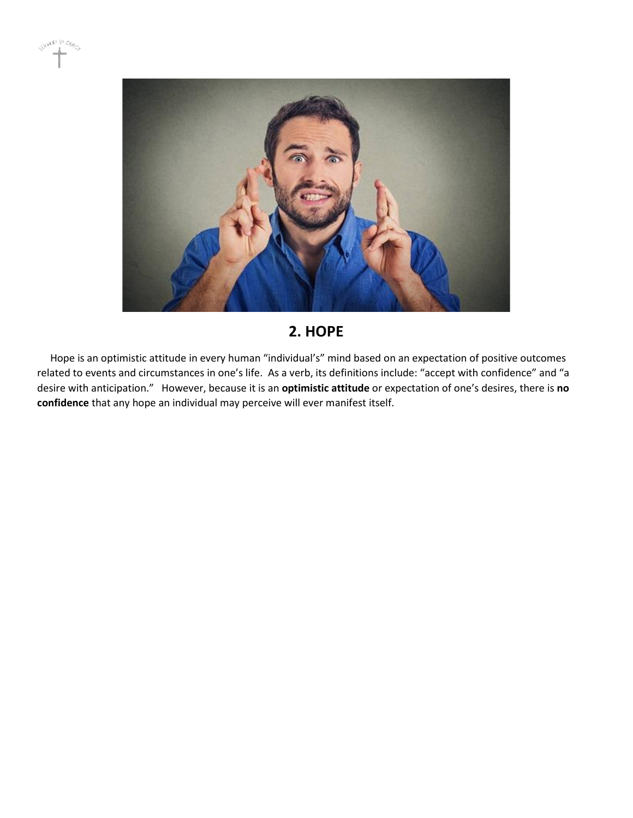

SHANN DI Check

## **2. HOPE**

Hope is an optimistic attitude in every human "individual's" mind based on an expectation of positive outcomes related to events and circumstances in one's life. As a verb, its definitions include: "accept with confidence" and "a desire with anticipation." However, because it is an **optimistic attitude** or expectation of one's desires, there is **no confidence** that any hope an individual may perceive will ever manifest itself.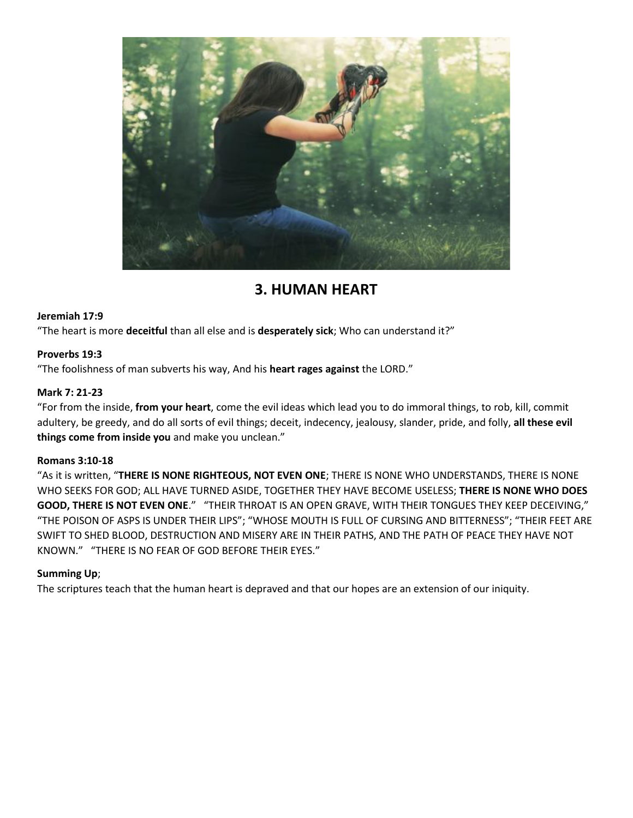

### **3. HUMAN HEART**

#### **Jeremiah 17:9**

"The heart is more **deceitful** than all else and is **desperately sick**; Who can understand it?"

#### **Proverbs 19:3**

"The foolishness of man subverts his way, And his **heart rages against** the LORD."

#### **Mark 7: 21-23**

"For from the inside, **from your heart**, come the evil ideas which lead you to do immoral things, to rob, kill, commit adultery, be greedy, and do all sorts of evil things; deceit, indecency, jealousy, slander, pride, and folly, **all these evil things come from inside you** and make you unclean."

#### **Romans 3:10-18**

"As it is written, "**THERE IS NONE RIGHTEOUS, NOT EVEN ONE**; THERE IS NONE WHO UNDERSTANDS, THERE IS NONE WHO SEEKS FOR GOD; ALL HAVE TURNED ASIDE, TOGETHER THEY HAVE BECOME USELESS; **THERE IS NONE WHO DOES GOOD, THERE IS NOT EVEN ONE**." "THEIR THROAT IS AN OPEN GRAVE, WITH THEIR TONGUES THEY KEEP DECEIVING," "THE POISON OF ASPS IS UNDER THEIR LIPS"; "WHOSE MOUTH IS FULL OF CURSING AND BITTERNESS"; "THEIR FEET ARE SWIFT TO SHED BLOOD, DESTRUCTION AND MISERY ARE IN THEIR PATHS, AND THE PATH OF PEACE THEY HAVE NOT KNOWN." "THERE IS NO FEAR OF GOD BEFORE THEIR EYES."

#### **Summing Up**;

The scriptures teach that the human heart is depraved and that our hopes are an extension of our iniquity.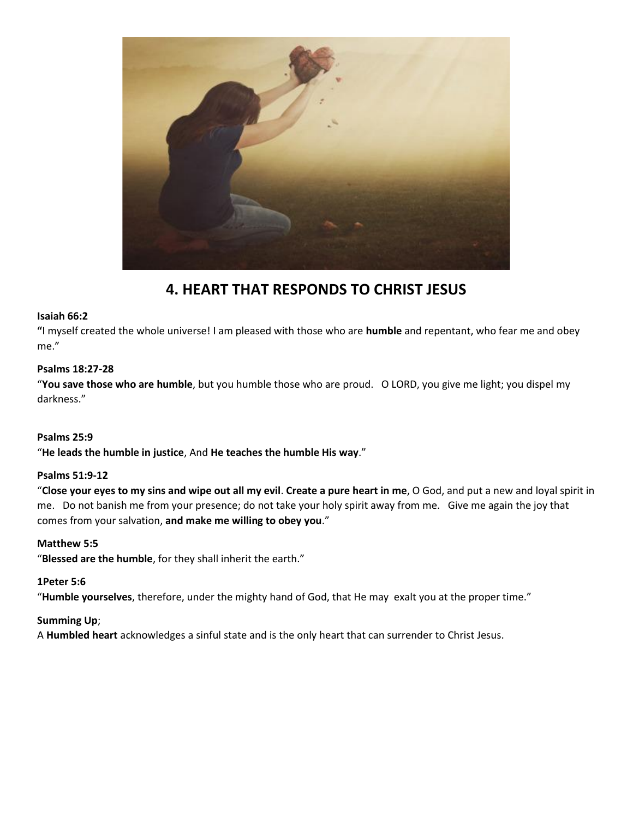

## **4. HEART THAT RESPONDS TO CHRIST JESUS**

#### **Isaiah 66:2**

**"**I myself created the whole universe! I am pleased with those who are **humble** and repentant, who fear me and obey me."

#### **Psalms 18:27-28**

"**You save those who are humble**, but you humble those who are proud. O LORD, you give me light; you dispel my darkness."

#### **Psalms 25:9**

"**He leads the humble in justice**, And **He teaches the humble His way**."

#### **Psalms 51:9-12**

"**Close your eyes to my sins and wipe out all my evil**. **Create a pure heart in me**, O God, and put a new and loyal spirit in me. Do not banish me from your presence; do not take your holy spirit away from me. Give me again the joy that comes from your salvation, **and make me willing to obey you**."

#### **Matthew 5:5**

"**Blessed are the humble**, for they shall inherit the earth."

#### **1Peter 5:6**

"**Humble yourselves**, therefore, under the mighty hand of God, that He may exalt you at the proper time."

#### **Summing Up**;

A **Humbled heart** acknowledges a sinful state and is the only heart that can surrender to Christ Jesus.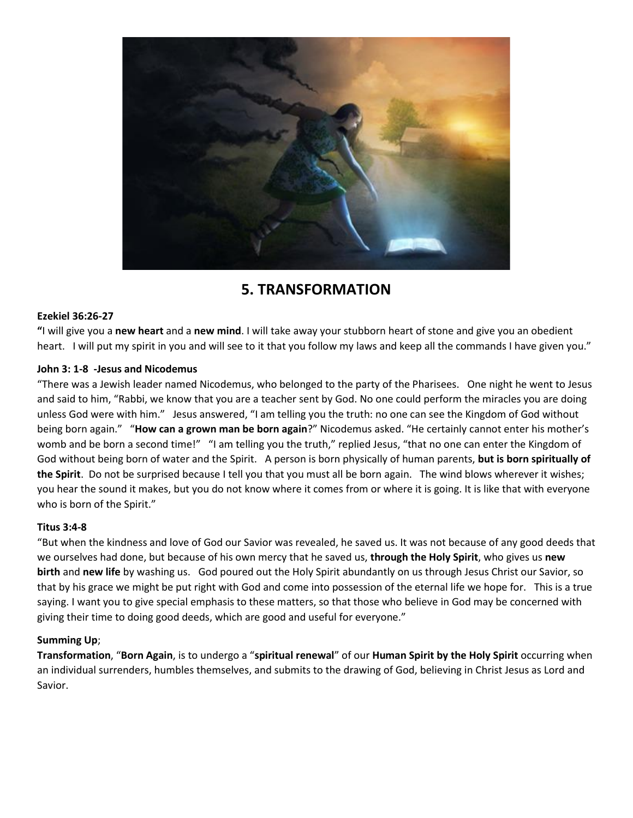

## **5. TRANSFORMATION**

#### **Ezekiel 36:26-27**

**"**I will give you a **new heart** and a **new mind**. I will take away your stubborn heart of stone and give you an obedient heart. I will put my spirit in you and will see to it that you follow my laws and keep all the commands I have given you."

#### **John 3: 1-8 -Jesus and Nicodemus**

"There was a Jewish leader named Nicodemus, who belonged to the party of the Pharisees. One night he went to Jesus and said to him, "Rabbi, we know that you are a teacher sent by God. No one could perform the miracles you are doing unless God were with him." Jesus answered, "I am telling you the truth: no one can see the Kingdom of God without being born again." "**How can a grown man be born again**?" Nicodemus asked. "He certainly cannot enter his mother's womb and be born a second time!" "I am telling you the truth," replied Jesus, "that no one can enter the Kingdom of God without being born of water and the Spirit. A person is born physically of human parents, **but is born spiritually of the Spirit**. Do not be surprised because I tell you that you must all be born again. The wind blows wherever it wishes; you hear the sound it makes, but you do not know where it comes from or where it is going. It is like that with everyone who is born of the Spirit."

#### **Titus 3:4-8**

"But when the kindness and love of God our Savior was revealed, he saved us. It was not because of any good deeds that we ourselves had done, but because of his own mercy that he saved us, **through the Holy Spirit**, who gives us **new birth** and **new life** by washing us. God poured out the Holy Spirit abundantly on us through Jesus Christ our Savior, so that by his grace we might be put right with God and come into possession of the eternal life we hope for. This is a true saying. I want you to give special emphasis to these matters, so that those who believe in God may be concerned with giving their time to doing good deeds, which are good and useful for everyone."

#### **Summing Up**;

**Transformation**, "**Born Again**, is to undergo a "**spiritual renewal**" of our **Human Spirit by the Holy Spirit** occurring when an individual surrenders, humbles themselves, and submits to the drawing of God, believing in Christ Jesus as Lord and Savior.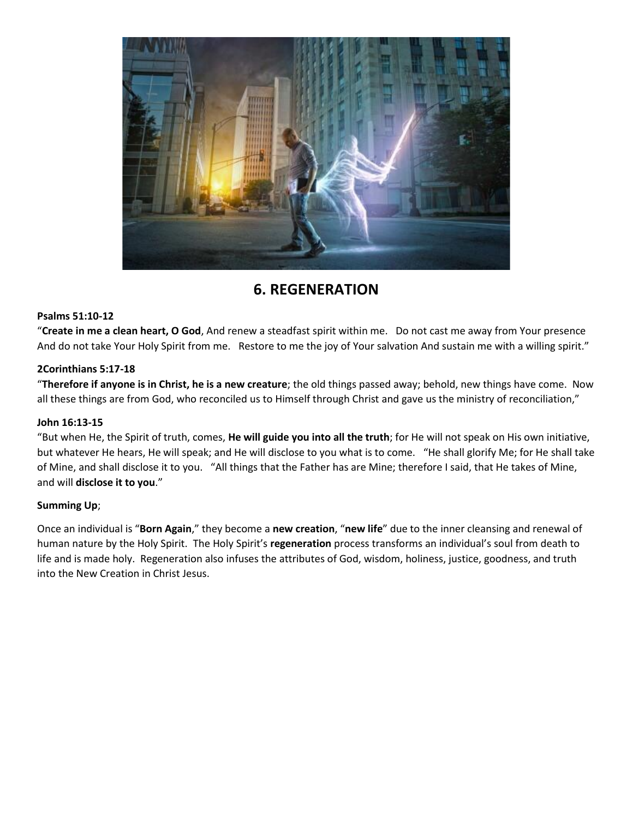

## **6. REGENERATION**

#### **Psalms 51:10-12**

"**Create in me a clean heart, O God**, And renew a steadfast spirit within me. Do not cast me away from Your presence And do not take Your Holy Spirit from me. Restore to me the joy of Your salvation And sustain me with a willing spirit."

#### **2Corinthians 5:17-18**

"**Therefore if anyone is in Christ, he is a new creature**; the old things passed away; behold, new things have come. Now all these things are from God, who reconciled us to Himself through Christ and gave us the ministry of reconciliation,"

#### **John 16:13-15**

"But when He, the Spirit of truth, comes, **He will guide you into all the truth**; for He will not speak on His own initiative, but whatever He hears, He will speak; and He will disclose to you what is to come. "He shall glorify Me; for He shall take of Mine, and shall disclose it to you. "All things that the Father has are Mine; therefore I said, that He takes of Mine, and will **disclose it to you**."

#### **Summing Up**;

Once an individual is "**Born Again**," they become a **new creation**, "**new life**" due to the inner cleansing and renewal of human nature by the Holy Spirit. The Holy Spirit's **regeneration** process transforms an individual's soul from death to life and is made holy. Regeneration also infuses the attributes of God, wisdom, holiness, justice, goodness, and truth into the New Creation in Christ Jesus.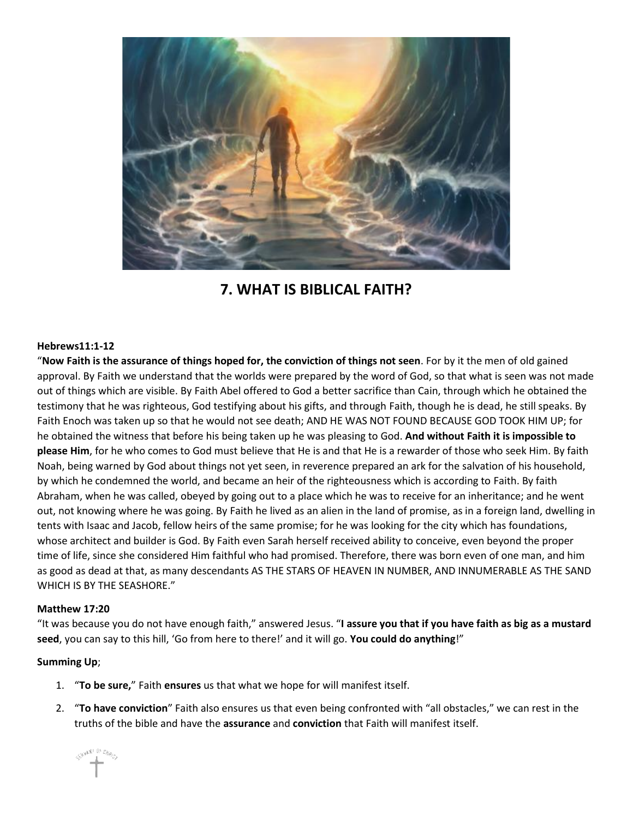

**7. WHAT IS BIBLICAL FAITH?**

#### **Hebrews11:1-12**

"**Now Faith is the assurance of things hoped for, the conviction of things not seen**. For by it the men of old gained approval. By Faith we understand that the worlds were prepared by the word of God, so that what is seen was not made out of things which are visible. By Faith Abel offered to God a better sacrifice than Cain, through which he obtained the testimony that he was righteous, God testifying about his gifts, and through Faith, though he is dead, he still speaks. By Faith Enoch was taken up so that he would not see death; AND HE WAS NOT FOUND BECAUSE GOD TOOK HIM UP; for he obtained the witness that before his being taken up he was pleasing to God. **And without Faith it is impossible to please Him**, for he who comes to God must believe that He is and that He is a rewarder of those who seek Him. By faith Noah, being warned by God about things not yet seen, in reverence prepared an ark for the salvation of his household, by which he condemned the world, and became an heir of the righteousness which is according to Faith. By faith Abraham, when he was called, obeyed by going out to a place which he was to receive for an inheritance; and he went out, not knowing where he was going. By Faith he lived as an alien in the land of promise, as in a foreign land, dwelling in tents with Isaac and Jacob, fellow heirs of the same promise; for he was looking for the city which has foundations, whose architect and builder is God. By Faith even Sarah herself received ability to conceive, even beyond the proper time of life, since she considered Him faithful who had promised. Therefore, there was born even of one man, and him as good as dead at that, as many descendants AS THE STARS OF HEAVEN IN NUMBER, AND INNUMERABLE AS THE SAND WHICH IS BY THE SEASHORE."

#### **Matthew 17:20**

"It was because you do not have enough faith," answered Jesus. "**I assure you that if you have faith as big as a mustard seed**, you can say to this hill, 'Go from here to there!' and it will go. **You could do anything**!"

#### **Summing Up**;

- 1. "**To be sure,**" Faith **ensures** us that what we hope for will manifest itself.
- 2. "**To have conviction**" Faith also ensures us that even being confronted with "all obstacles," we can rest in the truths of the bible and have the **assurance** and **conviction** that Faith will manifest itself.